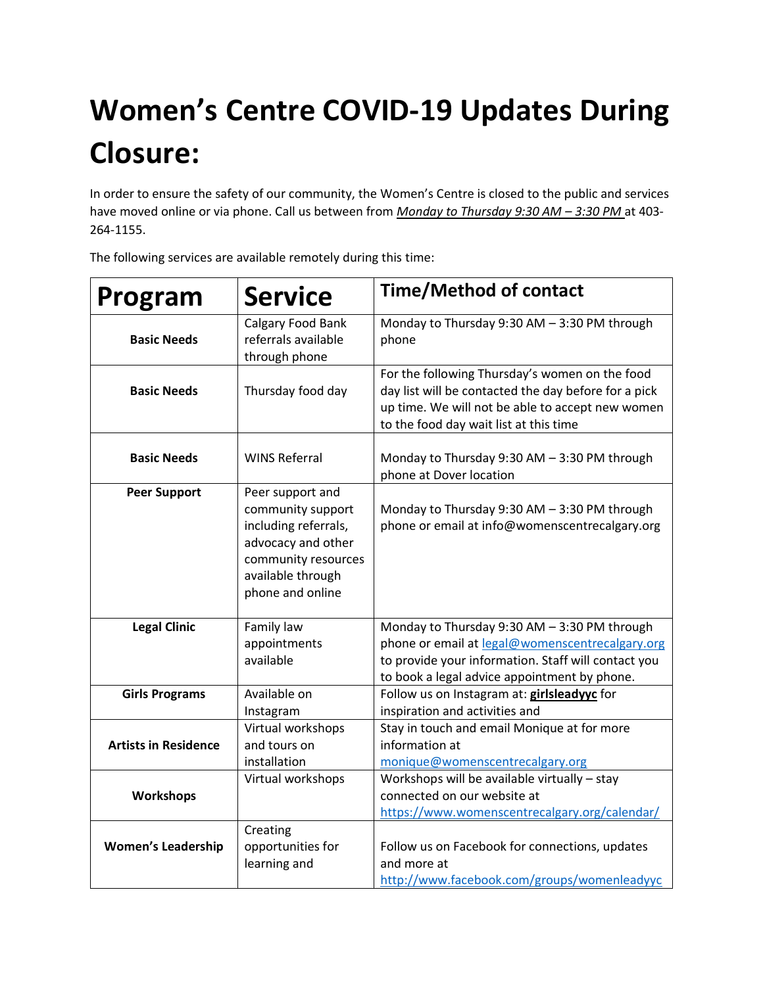## **Women's Centre COVID-19 Updates During Closure:**

In order to ensure the safety of our community, the Women's Centre is closed to the public and services have moved online or via phone. Call us between from *Monday to Thursday 9:30 AM – 3:30 PM* at 403- 264-1155.

| Program                     | <b>Service</b>                                                                                                                                      | <b>Time/Method of contact</b>                                                                                                                                                                          |
|-----------------------------|-----------------------------------------------------------------------------------------------------------------------------------------------------|--------------------------------------------------------------------------------------------------------------------------------------------------------------------------------------------------------|
| <b>Basic Needs</b>          | Calgary Food Bank<br>referrals available<br>through phone                                                                                           | Monday to Thursday 9:30 AM - 3:30 PM through<br>phone                                                                                                                                                  |
| <b>Basic Needs</b>          | Thursday food day                                                                                                                                   | For the following Thursday's women on the food<br>day list will be contacted the day before for a pick<br>up time. We will not be able to accept new women<br>to the food day wait list at this time   |
| <b>Basic Needs</b>          | <b>WINS Referral</b>                                                                                                                                | Monday to Thursday 9:30 AM - 3:30 PM through<br>phone at Dover location                                                                                                                                |
| <b>Peer Support</b>         | Peer support and<br>community support<br>including referrals,<br>advocacy and other<br>community resources<br>available through<br>phone and online | Monday to Thursday 9:30 AM - 3:30 PM through<br>phone or email at info@womenscentrecalgary.org                                                                                                         |
| <b>Legal Clinic</b>         | Family law<br>appointments<br>available                                                                                                             | Monday to Thursday 9:30 AM - 3:30 PM through<br>phone or email at legal@womenscentrecalgary.org<br>to provide your information. Staff will contact you<br>to book a legal advice appointment by phone. |
| <b>Girls Programs</b>       | Available on<br>Instagram                                                                                                                           | Follow us on Instagram at: girlsleadyyc for<br>inspiration and activities and                                                                                                                          |
| <b>Artists in Residence</b> | Virtual workshops<br>and tours on<br>installation                                                                                                   | Stay in touch and email Monique at for more<br>information at<br>monique@womenscentrecalgary.org                                                                                                       |
| <b>Workshops</b>            | Virtual workshops                                                                                                                                   | Workshops will be available virtually - stay<br>connected on our website at<br>https://www.womenscentrecalgary.org/calendar/                                                                           |
| <b>Women's Leadership</b>   | Creating<br>opportunities for<br>learning and                                                                                                       | Follow us on Facebook for connections, updates<br>and more at<br>http://www.facebook.com/groups/womenleadyyc                                                                                           |

The following services are available remotely during this time: